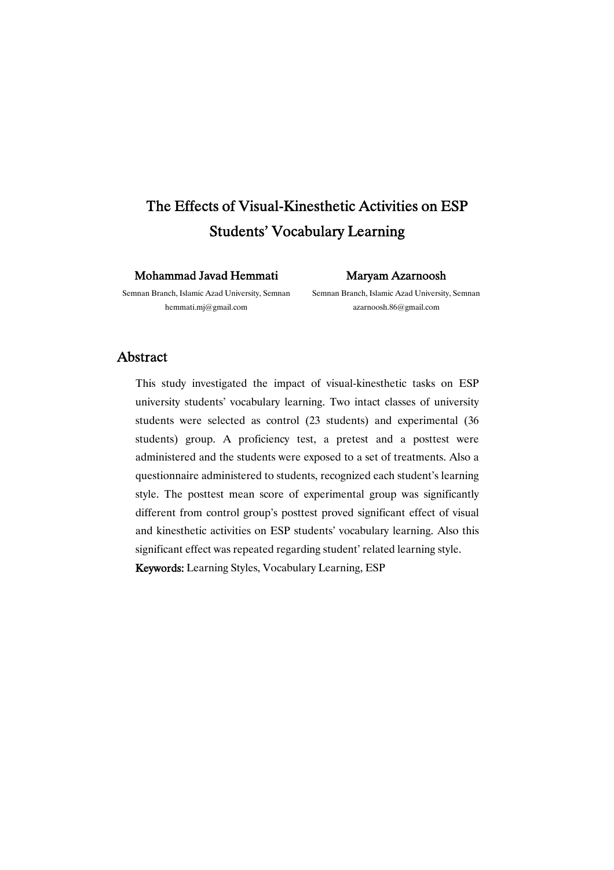# The Effects of Visual-Kinesthetic Activities on ESP Students'VocabularyLearning

Mohammad Javad Hemmati

Semnan Branch, Islamic Azad University, Semnan hemmati.mj@gmail.com

MaryamAzarnoosh

Semnan Branch, Islamic Azad University, Semnan azarnoosh.86@gmail.com

### Abstract

This study investigated the impact of visual-kinesthetic tasks on ESP university students' vocabulary learning. Two intact classes of university students were selected as control (23 students) and experimental (36 students) group. A proficiency test, a pretest and a posttest were administered and the students were exposed to a set of treatments. Also a questionnaire administered to students, recognized each student's learning style. The posttest mean score of experimental group was significantly different from control group's posttest proved significant effect of visual and kinesthetic activities on ESP students' vocabulary learning. Also this significant effect was repeated regarding student' related learning style. Keywords:Learning Styles, Vocabulary Learning, ESP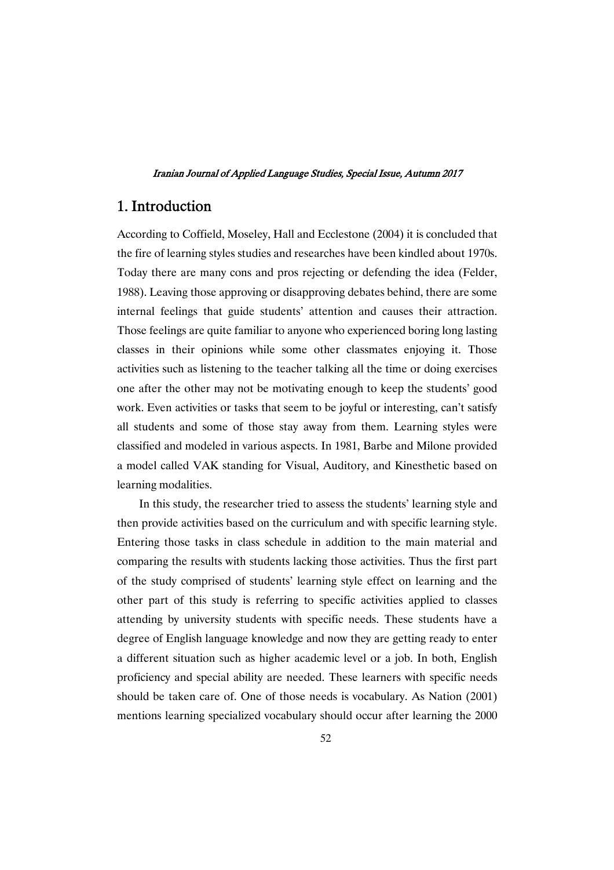# 1.Introduction

According to Coffield, Moseley, Hall and Ecclestone (2004) it is concluded that the fire of learning styles studies and researches have been kindled about 1970s. Today there are many cons and pros rejecting or defending the idea (Felder, 1988). Leaving those approving or disapproving debates behind, there are some internal feelings that guide students' attention and causes their attraction. Those feelings are quite familiar to anyone who experienced boring long lasting classes in their opinions while some other classmates enjoying it. Those activities such as listening to the teacher talking all the time or doing exercises one after the other may not be motivating enough to keep the students' good work. Even activities or tasks that seem to be joyful or interesting, can't satisfy all students and some of those stay away from them. Learning styles were classified and modeled in various aspects. In 1981, Barbe and Milone provided a model called VAK standing for Visual, Auditory, and Kinesthetic based on learning modalities.

In this study, the researcher tried to assess the students' learning style and then provide activities based on the curriculum and with specific learning style. Entering those tasks in class schedule in addition to the main material and comparing the results with students lacking those activities. Thus the first part of the study comprised of students' learning style effect on learning and the other part of this study is referring to specific activities applied to classes attending by university students with specific needs. These students have a degree of English language knowledge and now they are getting ready to enter a different situation such as higher academic level or a job. In both, English proficiency and special ability are needed. These learners with specific needs should be taken care of. One of those needs is vocabulary. As Nation (2001) mentions learning specialized vocabulary should occur after learning the 2000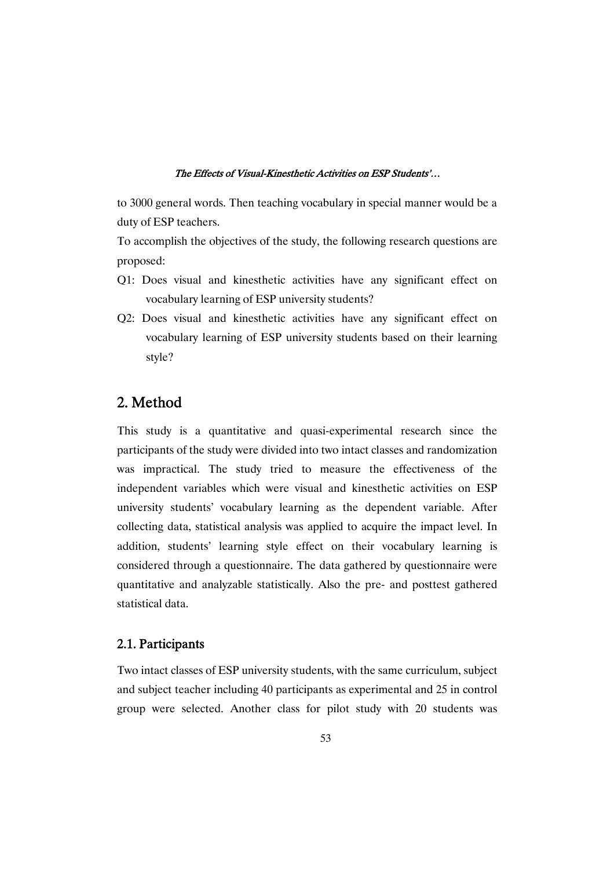to 3000 general words. Then teaching vocabulary in special manner would be a duty of ESP teachers.

To accomplish the objectives of the study, the following research questions are proposed:

- Q1: Does visual and kinesthetic activities have any significant effect on vocabulary learning of ESP university students?
- Q2: Does visual and kinesthetic activities have any significant effect on vocabulary learning of ESP university students based on their learning style?

# 2.Method

This study is a quantitative and quasi-experimental research since the participants of the study were divided into two intact classes and randomization was impractical. The study tried to measure the effectiveness of the independent variables which were visual and kinesthetic activities on ESP university students' vocabulary learning as the dependent variable. After collecting data, statistical analysis was applied to acquire the impact level. In addition, students' learning style effect on their vocabulary learning is considered through a questionnaire. The data gathered by questionnaire were quantitative and analyzable statistically. Also the pre- and posttest gathered statistical data.

### 2.1.Participants

Two intact classes of ESP university students, with the same curriculum, subject and subject teacher including 40 participants as experimental and 25 in control group were selected. Another class for pilot study with 20 students was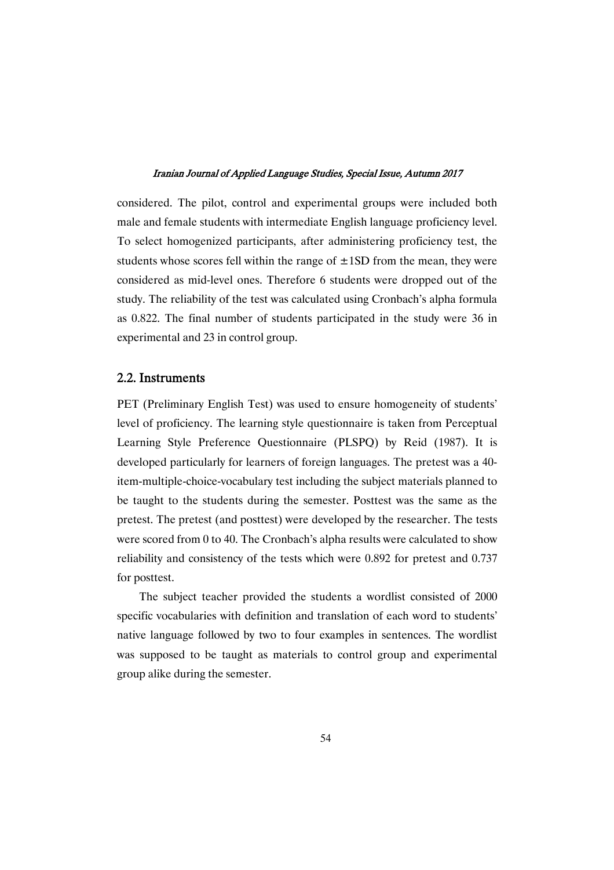considered. The pilot, control and experimental groups were included both male and female students with intermediate English language proficiency level. To select homogenized participants, after administering proficiency test, the students whose scores fell within the range of  $\pm$ 1SD from the mean, they were considered as mid-level ones. Therefore 6 students were dropped out of the study. The reliability of the test was calculated using Cronbach's alpha formula as 0.822. The final number of students participated in the study were 36 in experimental and 23 in control group.

### 2.2.Instruments

PET (Preliminary English Test) was used to ensure homogeneity of students' level of proficiency. The learning style questionnaire is taken from Perceptual Learning Style Preference Questionnaire (PLSPQ) by Reid (1987). It is developed particularly for learners of foreign languages. The pretest was a 40 item-multiple-choice-vocabulary test including the subject materials planned to be taught to the students during the semester. Posttest was the same as the pretest. The pretest (and posttest) were developed by the researcher. The tests were scored from 0 to 40. The Cronbach's alpha results were calculated to show reliability and consistency of the tests which were 0.892 for pretest and 0.737 for posttest.

The subject teacher provided the students a wordlist consisted of 2000 specific vocabularies with definition and translation of each word to students' native language followed by two to four examples in sentences. The wordlist was supposed to be taught as materials to control group and experimental group alike during the semester.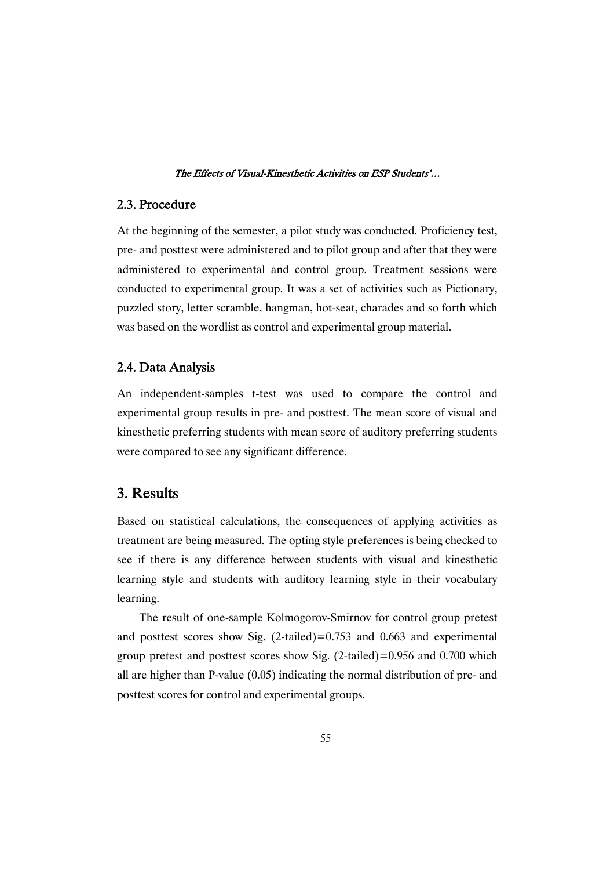### 2.3.Procedure

At the beginning of the semester, a pilot study was conducted. Proficiency test, pre- and posttest were administered and to pilot group and after that they were administered to experimental and control group. Treatment sessions were conducted to experimental group. It was a set of activities such as Pictionary, puzzled story, letter scramble, hangman, hot-seat, charades and so forth which was based on the wordlist as control and experimental group material.

### 2.4. Data Analysis

An independent-samples t-test was used to compare the control and experimental group results in pre- and posttest. The mean score of visual and kinesthetic preferring students with mean score of auditory preferring students were compared to see any significant difference.

# 3.Results

Based on statistical calculations, the consequences of applying activities as treatment are being measured. The opting style preferences is being checked to see if there is any difference between students with visual and kinesthetic learning style and students with auditory learning style in their vocabulary learning.

The result of one-sample Kolmogorov-Smirnov for control group pretest and posttest scores show Sig.  $(2\t-1)$  (2-tailed) = 0.753 and 0.663 and experimental group pretest and posttest scores show Sig.  $(2$ -tailed)=0.956 and 0.700 which all are higher than P-value (0.05) indicating the normal distribution of pre- and posttest scores for control and experimental groups.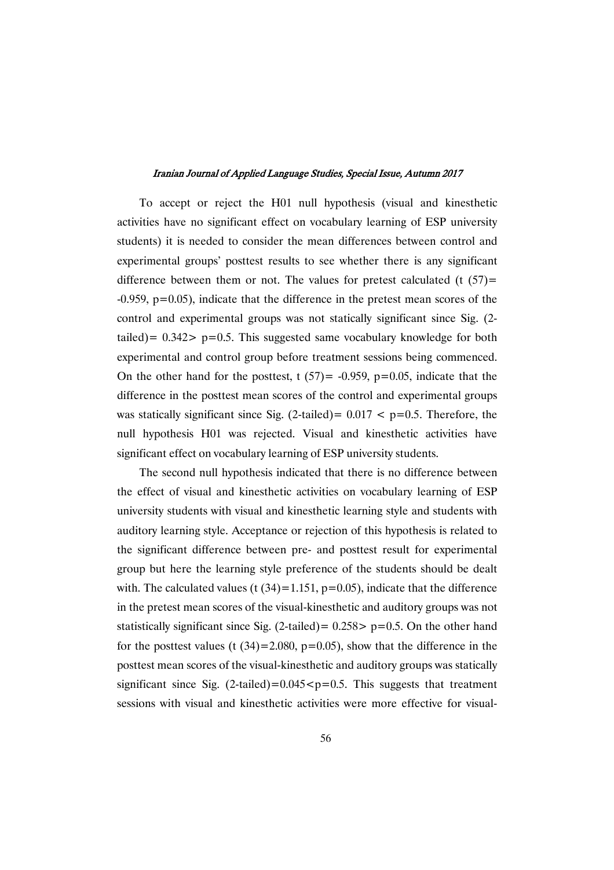To accept or reject the H01 null hypothesis (visual and kinesthetic activities have no significant effect on vocabulary learning of ESP university students) it is needed to consider the mean differences between control and experimental groups' posttest results to see whether there is any significant difference between them or not. The values for pretest calculated (t  $(57)$ =  $-0.959$ ,  $p=0.05$ ), indicate that the difference in the pretest mean scores of the control and experimental groups was not statically significant since Sig. (2 tailed) =  $0.342$  p=0.5. This suggested same vocabulary knowledge for both experimental and control group before treatment sessions being commenced. On the other hand for the posttest, t  $(57) = -0.959$ ,  $p=0.05$ , indicate that the difference in the posttest mean scores of the control and experimental groups was statically significant since Sig. (2-tailed)=  $0.017 < p=0.5$ . Therefore, the null hypothesis H01 was rejected. Visual and kinesthetic activities have significant effect on vocabulary learning of ESP university students.

The second null hypothesis indicated that there is no difference between the effect of visual and kinesthetic activities on vocabulary learning of ESP university students with visual and kinesthetic learning style and students with auditory learning style. Acceptance or rejection of this hypothesis is related to the significant difference between pre- and posttest result for experimental group but here the learning style preference of the students should be dealt with. The calculated values (t  $(34)=1.151$ , p=0.05), indicate that the difference in the pretest mean scores of the visual-kinesthetic and auditory groups was not statistically significant since Sig. (2-tailed) =  $0.258$  >  $p=0.5$ . On the other hand for the posttest values (t  $(34)=2.080$ ,  $p=0.05$ ), show that the difference in the posttest mean scores of the visual-kinesthetic and auditory groups was statically significant since Sig.  $(2$ -tailed)=0.045 < p=0.5. This suggests that treatment sessions with visual and kinesthetic activities were more effective for visual-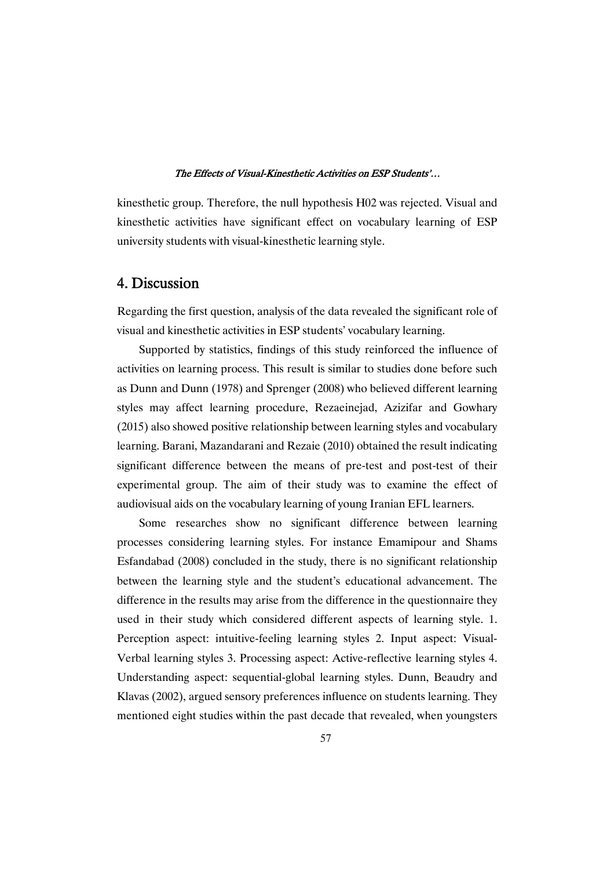kinesthetic group. Therefore, the null hypothesis H02 was rejected. Visual and kinesthetic activities have significant effect on vocabulary learning of ESP university students with visual-kinesthetic learning style.

# 4.Discussion

Regarding the first question, analysis of the data revealed the significant role of visual and kinesthetic activities in ESP students' vocabulary learning.

Supported by statistics, findings of this study reinforced the influence of activities on learning process. This result is similar to studies done before such as Dunn and Dunn (1978) and Sprenger (2008) who believed different learning styles may affect learning procedure, Rezaeinejad, Azizifar and Gowhary (2015) also showed positive relationship between learning styles and vocabulary learning. Barani, Mazandarani and Rezaie (2010) obtained the result indicating significant difference between the means of pre-test and post-test of their experimental group. The aim of their study was to examine the effect of audiovisual aids on the vocabulary learning of young Iranian EFL learners.

Some researches show no significant difference between learning processes considering learning styles. For instance Emamipour and Shams Esfandabad (2008) concluded in the study, there is no significant relationship between the learning style and the student's educational advancement. The difference in the results may arise from the difference in the questionnaire they used in their study which considered different aspects of learning style. 1. Perception aspect: intuitive-feeling learning styles 2. Input aspect: Visual-Verbal learning styles 3. Processing aspect: Active-reflective learning styles 4. Understanding aspect: sequential-global learning styles. Dunn, Beaudry and Klavas (2002), argued sensory preferences influence on students learning. They mentioned eight studies within the past decade that revealed, when youngsters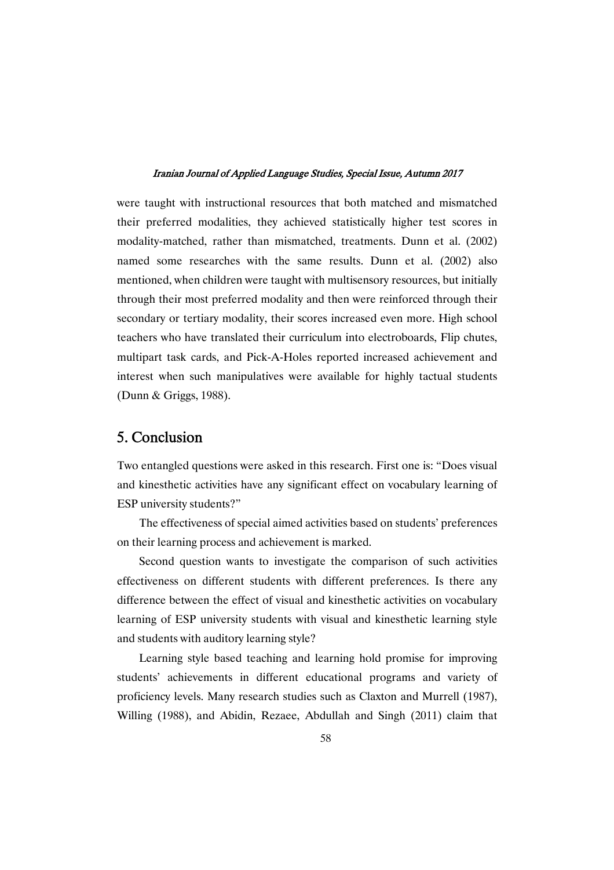were taught with instructional resources that both matched and mismatched their preferred modalities, they achieved statistically higher test scores in modality-matched, rather than mismatched, treatments. Dunn et al. (2002) named some researches with the same results. Dunn et al. (2002) also mentioned, when children were taught with multisensory resources, but initially through their most preferred modality and then were reinforced through their secondary or tertiary modality, their scores increased even more. High school teachers who have translated their curriculum into electroboards, Flip chutes, multipart task cards, and Pick-A-Holes reported increased achievement and interest when such manipulatives were available for highly tactual students (Dunn & Griggs, 1988).

# 5.Conclusion

Two entangled questions were asked in this research. First one is: "Does visual and kinesthetic activities have any significant effect on vocabulary learning of ESP university students?"

The effectiveness of special aimed activities based on students' preferences on their learning process and achievement is marked.

Second question wants to investigate the comparison of such activities effectiveness on different students with different preferences. Is there any difference between the effect of visual and kinesthetic activities on vocabulary learning of ESP university students with visual and kinesthetic learning style and students with auditory learning style?

Learning style based teaching and learning hold promise for improving students' achievements in different educational programs and variety of proficiency levels. Many research studies such as Claxton and Murrell (1987), Willing (1988), and Abidin, Rezaee, Abdullah and Singh (2011) claim that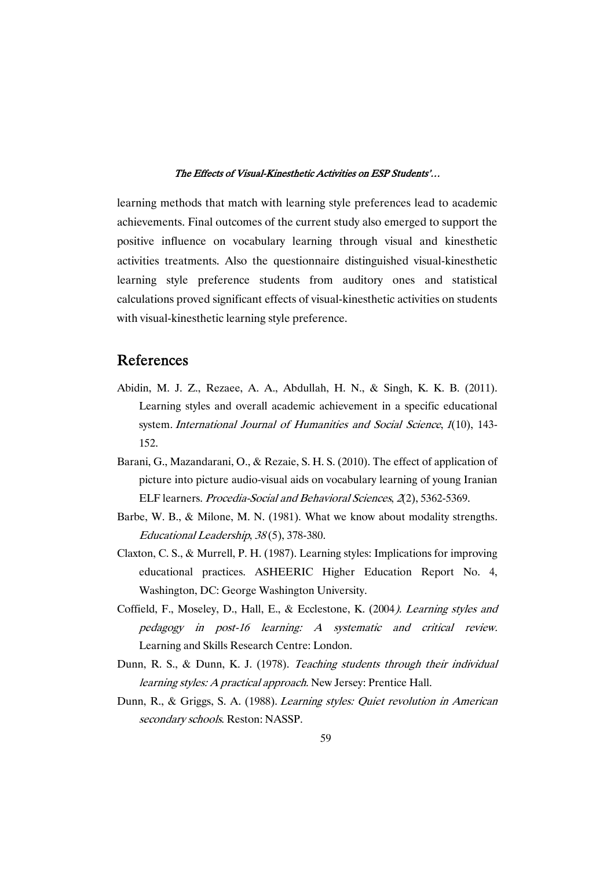learning methods that match with learning style preferences lead to academic achievements. Final outcomes of the current study also emerged to support the positive influence on vocabulary learning through visual and kinesthetic activities treatments. Also the questionnaire distinguished visual-kinesthetic learning style preference students from auditory ones and statistical calculations proved significant effects of visual-kinesthetic activities on students with visual-kinesthetic learning style preference.

# References

- Abidin, M. J. Z., Rezaee, A. A., Abdullah, H. N., & Singh, K. K. B. (2011). Learning styles and overall academic achievement in a specific educational system. International Journal of Humanities and Social Science, 1(10), 143-152.
- Barani, G., Mazandarani, O., & Rezaie, S. H. S. (2010). The effect of application of picture into picture audio-visual aids on vocabulary learning of young Iranian ELF learners. Procedia-Social and Behavioral Sciences, <sup>2</sup>(2), 5362-5369.
- Barbe, W. B., & Milone, M. N. (1981). What we know about modality strengths. Educational Leadership, <sup>38</sup> (5), 378-380.
- Claxton, C. S., & Murrell, P. H. (1987). Learning styles: Implications for improving educational practices. ASHEERIC Higher Education Report No. 4, Washington, DC: George Washington University.
- Coffield, F., Moseley, D., Hall, E., & Ecclestone, K. (2004). Learning styles and pedagogy in post-16 learning: A systematic and critical review. Learning and Skills Research Centre: London.
- Dunn, R. S., & Dunn, K. J. (1978). Teaching students through their individual learning styles: A practical approach. New Jersey: Prentice Hall.
- Dunn, R., & Griggs, S. A. (1988). Learning styles: Quiet revolution in American secondary schools. Reston: NASSP.